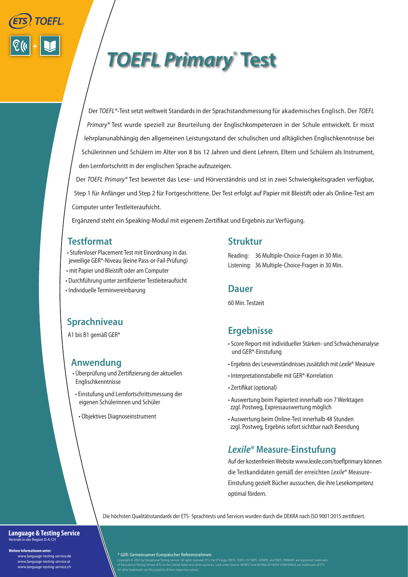

# *TOEFL Primary®*  **Test**

Der *TOEFL®-*Testsetzt weltweit Standards in der Sprachstandsmessung für akademisches Englisch. Der *TOEFL Primary®* Test wurde speziell zur Beurteilung der Englischkompetenzen in der Schule entwickelt. Er misst lehrplanunabhängig den allgemeinen Leistungsstand der schulischen und alltäglichen Englischkenntnisse bei Schülerinnen und Schülern im Alter von 8 bis 12 Jahren und dient Lehrern, Eltern und Schülern als Instrument, den Lernfortschritt in der englischen Sprache aufzuzeigen.

Der *TOEFL Primary®* Test bewertet das Lese- und Hörverständnis und ist in zwei Schwierigkeitsgraden verfügbar, Step 1 für Anfänger und Step 2 für Fortgeschrittene. Der Test erfolgt auf Papier mit Bleistift oder als Online-Test am Computer unter Testleiteraufsicht.

Ergänzend steht ein Speaking-Modul mit eigenem Zertifikat und Ergebnis zur Verfügung.

## **Testformat**

- Stufenloser Placement Test mit Einordnung in das jeweilige GER\*-Niveau (keine Pass-or-Fail-Prüfung)
- mit Papier und Bleistift oder am Computer
- Durchführung unter zertifizierter Testleiteraufsicht
- Individuelle Terminvereinbarung

#### **Struktur**

Reading: 36 Multiple-Choice-Fragen in 30 Min. Listening: 36 Multiple-Choice-Fragen in 30 Min.

#### **Dauer**

60 Min. Testzeit

# **Sprachniveau**

A1 bis B1 gemäß GER\*

#### **Anwendung**

- Überprüfung und Zertifizierung der aktuellen Englischkenntnisse
- Einstufung und Lernfortschrittsmessung der eigenen Schülerinnen und Schüler
	- Objektives Diagnoseinstrument

### **Ergebnisse**

- Score Report mit individueller Stärken- und Schwächenanalyse und GER\*-Einstufung
- Ergebnis des Leseverständnisses zusätzlich mit *Lexile*® Measure
- Interpretationstabelle mit GER\*-Korrelation
- Zertifikat (optional)
- Auswertung beim Papiertest innerhalb von 7 Werktagen zzgl. Postweg, Expressauswertung möglich
- Auswertung beim Online-Test innerhalb 48 Stunden zzgl. Postweg, Ergebnis sofort sichtbar nach Beendung

#### *Lexile***® Measure-Einstufung**

Auf der kostenfreien Website www.lexile.com/toeflprimary können die Testkandidaten gemäß der erreichten *Lexile*® Measure-Einstufung gezielt Bücher aussuchen, die ihre Lesekompetenz optimal fördern.

Die höchsten Qualitätsstandards der ETS- Sprachtests und Services wurden durch die DEKRA nach ISO 9001:2015 zertifiziert.

#### **Language & Testing Service** Vertrieb in der Region D-A-CH

**Weitere Informationen unter:**

 www.language-testing-service.de www.language-testing-service.at www.language-testing-service.ch \* GER: Gemeinsamer Europäischer Referenzrahmen

All other trademarks are the property of their respective owners.

Copyright © 2022 by Educational Testing Service. All rights reserved. ETS, the ETS logo, TOEFL, TOEFL TR, TOEFL JUNIOR, and TOEFL PRIMARY are registered trademarks<br>of Educational Testing Service (ETS) in the United States